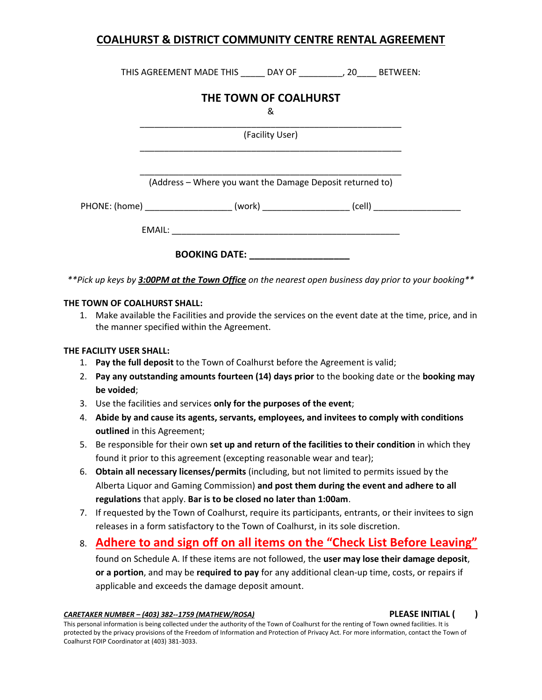THIS AGREEMENT MADE THIS \_\_\_\_\_ DAY OF \_\_\_\_\_\_\_\_\_, 20\_\_\_\_ BETWEEN:

# **THE TOWN OF COALHURST**

&

\_\_\_\_\_\_\_\_\_\_\_\_\_\_\_\_\_\_\_\_\_\_\_\_\_\_\_\_\_\_\_\_\_\_\_\_\_\_\_\_\_\_\_\_\_\_\_\_\_\_\_\_\_\_ (Facility User) \_\_\_\_\_\_\_\_\_\_\_\_\_\_\_\_\_\_\_\_\_\_\_\_\_\_\_\_\_\_\_\_\_\_\_\_\_\_\_\_\_\_\_\_\_\_\_\_\_\_\_\_\_\_

\_\_\_\_\_\_\_\_\_\_\_\_\_\_\_\_\_\_\_\_\_\_\_\_\_\_\_\_\_\_\_\_\_\_\_\_\_\_\_\_\_\_\_\_\_\_\_\_\_\_\_\_\_\_ (Address – Where you want the Damage Deposit returned to)

| PHONE: (home) | (work | ااهہ |
|---------------|-------|------|
|               |       |      |

EMAIL: \_\_\_\_\_\_\_\_\_\_\_\_\_\_\_\_\_\_\_\_\_\_\_\_\_\_\_\_\_\_\_\_\_\_\_\_\_\_\_\_\_\_\_\_\_\_\_

**BOOKING DATE: \_\_\_\_\_\_\_\_\_\_\_\_\_\_\_\_\_\_\_**

*\*\*Pick up keys by 3:00PM at the Town Office on the nearest open business day prior to your booking\*\**

#### **THE TOWN OF COALHURST SHALL:**

1. Make available the Facilities and provide the services on the event date at the time, price, and in the manner specified within the Agreement.

#### **THE FACILITY USER SHALL:**

- 1. **Pay the full deposit** to the Town of Coalhurst before the Agreement is valid;
- 2. **Pay any outstanding amounts fourteen (14) days prior** to the booking date or the **booking may be voided**;
- 3. Use the facilities and services **only for the purposes of the event**;
- 4. **Abide by and cause its agents, servants, employees, and invitees to comply with conditions outlined** in this Agreement;
- 5. Be responsible for their own **set up and return of the facilities to their condition** in which they found it prior to this agreement (excepting reasonable wear and tear);
- 6. **Obtain all necessary licenses/permits** (including, but not limited to permits issued by the Alberta Liquor and Gaming Commission) **and post them during the event and adhere to all regulations** that apply. **Bar is to be closed no later than 1:00am**.
- 7. If requested by the Town of Coalhurst, require its participants, entrants, or their invitees to sign releases in a form satisfactory to the Town of Coalhurst, in its sole discretion.
- 8. **Adhere to and sign off on all items on the "Check List Before Leaving"**

found on Schedule A. If these items are not followed, the **user may lose their damage deposit**, **or a portion**, and may be **required to pay** for any additional clean-up time, costs, or repairs if applicable and exceeds the damage deposit amount.

*CARETAKER NUMBER – (403) 382--1759 (MATHEW/ROSA)* **PLEASE INITIAL ( )**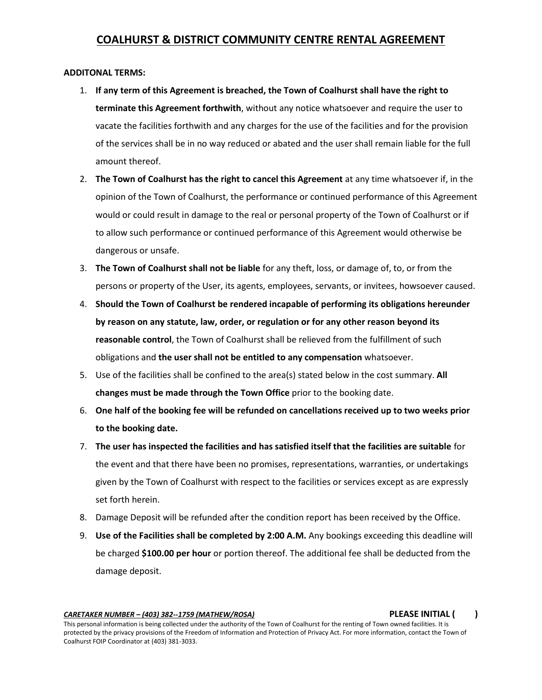#### **ADDITONAL TERMS:**

- 1. **If any term of this Agreement is breached, the Town of Coalhurst shall have the right to terminate this Agreement forthwith**, without any notice whatsoever and require the user to vacate the facilities forthwith and any charges for the use of the facilities and for the provision of the services shall be in no way reduced or abated and the user shall remain liable for the full amount thereof.
- 2. **The Town of Coalhurst has the right to cancel this Agreement** at any time whatsoever if, in the opinion of the Town of Coalhurst, the performance or continued performance of this Agreement would or could result in damage to the real or personal property of the Town of Coalhurst or if to allow such performance or continued performance of this Agreement would otherwise be dangerous or unsafe.
- 3. **The Town of Coalhurst shall not be liable** for any theft, loss, or damage of, to, or from the persons or property of the User, its agents, employees, servants, or invitees, howsoever caused.
- 4. **Should the Town of Coalhurst be rendered incapable of performing its obligations hereunder by reason on any statute, law, order, or regulation or for any other reason beyond its reasonable control**, the Town of Coalhurst shall be relieved from the fulfillment of such obligations and **the user shall not be entitled to any compensation** whatsoever.
- 5. Use of the facilities shall be confined to the area(s) stated below in the cost summary. **All changes must be made through the Town Office** prior to the booking date.
- 6. **One half of the booking fee will be refunded on cancellations received up to two weeks prior to the booking date.**
- 7. **The user has inspected the facilities and has satisfied itself that the facilities are suitable** for the event and that there have been no promises, representations, warranties, or undertakings given by the Town of Coalhurst with respect to the facilities or services except as are expressly set forth herein.
- 8. Damage Deposit will be refunded after the condition report has been received by the Office.
- 9. **Use of the Facilities shall be completed by 2:00 A.M.** Any bookings exceeding this deadline will be charged **\$100.00 per hour** or portion thereof. The additional fee shall be deducted from the damage deposit.

*CARETAKER NUMBER – (403) 382--1759 (MATHEW/ROSA)* **PLEASE INITIAL ( )**

This personal information is being collected under the authority of the Town of Coalhurst for the renting of Town owned facilities. It is protected by the privacy provisions of the Freedom of Information and Protection of Privacy Act. For more information, contact the Town of Coalhurst FOIP Coordinator at (403) 381-3033.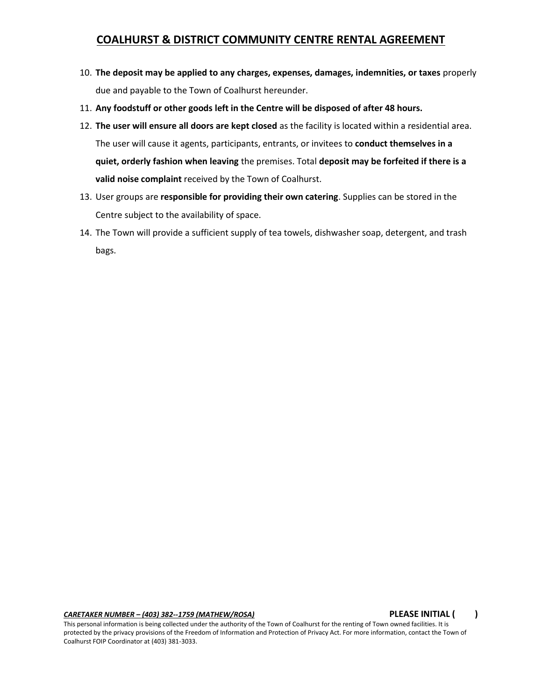- 10. **The deposit may be applied to any charges, expenses, damages, indemnities, or taxes** properly due and payable to the Town of Coalhurst hereunder.
- 11. **Any foodstuff or other goods left in the Centre will be disposed of after 48 hours.**
- 12. **The user will ensure all doors are kept closed** as the facility is located within a residential area. The user will cause it agents, participants, entrants, or invitees to **conduct themselves in a quiet, orderly fashion when leaving** the premises. Total **deposit may be forfeited if there is a valid noise complaint** received by the Town of Coalhurst.
- 13. User groups are **responsible for providing their own catering**. Supplies can be stored in the Centre subject to the availability of space.
- 14. The Town will provide a sufficient supply of tea towels, dishwasher soap, detergent, and trash bags.

*CARETAKER NUMBER – (403) 382--1759 (MATHEW/ROSA)* **PLEASE INITIAL ( )**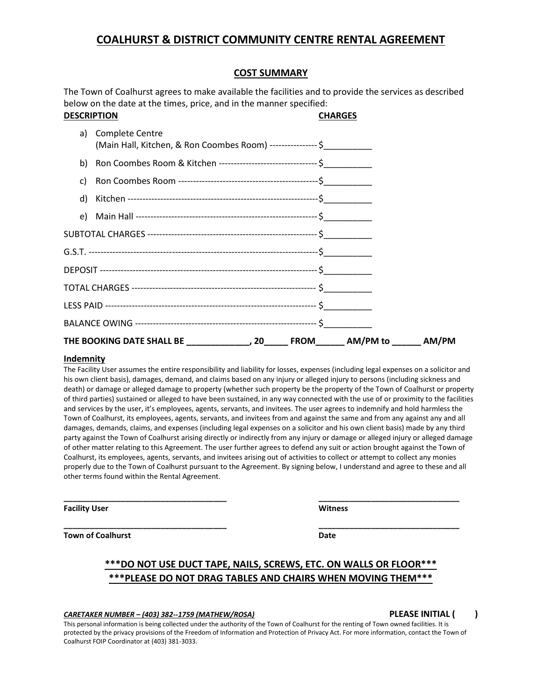#### **COST SUMMARY**

The Town of Coalhurst agrees to make available the facilities and to provide the services as described below on the date at the times, price, and in the manner specified:

| <b>DESCRIPTION</b> |                                                                                           | <b>CHARGES</b> |  |
|--------------------|-------------------------------------------------------------------------------------------|----------------|--|
| a)                 | Complete Centre<br>(Main Hall, Kitchen, & Ron Coombes Room) ---------------- \$           |                |  |
|                    | b) Ron Coombes Room & Kitchen ----------------------------------- \$                      |                |  |
| C)                 |                                                                                           |                |  |
| d)                 |                                                                                           |                |  |
|                    |                                                                                           |                |  |
|                    |                                                                                           |                |  |
|                    |                                                                                           |                |  |
|                    |                                                                                           |                |  |
|                    |                                                                                           |                |  |
|                    |                                                                                           |                |  |
|                    |                                                                                           |                |  |
|                    | THE BOOKING DATE SHALL BE _________________, 20_______ FROM_______ AM/PM to _______ AM/PM |                |  |

#### **Indemnity**

The Facility User assumes the entire responsibility and liability for losses, expenses (including legal expenses on a solicitor and his own client basis), damages, demand, and claims based on any injury or alleged injury to persons (including sickness and death) or damage or alleged damage to property (whether such property be the property of the Town of Coalhurst or property of third parties) sustained or alleged to have been sustained, in any way connected with the use of or proximity to the facilities and services by the user, it's employees, agents, servants, and invitees. The user agrees to indemnify and hold harmless the Town of Coalhurst, its employees, agents, servants, and invitees from and against the same and from any against any and all damages, demands, claims, and expenses (including legal expenses on a solicitor and his own client basis) made by any third party against the Town of Coalhurst arising directly or indirectly from any injury or damage or alleged injury or alleged damage of other matter relating to this Agreement. The user further agrees to defend any suit or action brought against the Town of Coalhurst, its employees, agents, servants, and invitees arising out of activities to collect or attempt to collect any monies properly due to the Town of Coalhurst pursuant to the Agreement. By signing below, I understand and agree to these and all other terms found within the Rental Agreement.

**\_\_\_\_\_\_\_\_\_\_\_\_\_\_\_\_\_\_\_\_\_\_\_\_\_\_\_\_\_\_\_\_\_\_\_\_\_ \_\_\_\_\_\_\_\_\_\_\_\_\_\_\_\_\_\_\_\_\_\_\_\_\_\_\_\_\_\_\_\_**

**\_\_\_\_\_\_\_\_\_\_\_\_\_\_\_\_\_\_\_\_\_\_\_\_\_\_\_\_\_\_\_\_\_\_\_\_\_ \_\_\_\_\_\_\_\_\_\_\_\_\_\_\_\_\_\_\_\_\_\_\_\_\_\_\_\_\_\_\_\_**

**Facility User Witness**

**Town of Coalhurst Date** 

#### **\*\*\*DO NOT USE DUCT TAPE, NAILS, SCREWS, ETC. ON WALLS OR FLOOR\*\*\* \*\*\*PLEASE DO NOT DRAG TABLES AND CHAIRS WHEN MOVING THEM\*\*\***

#### *CARETAKER NUMBER – (403) 382--1759 (MATHEW/ROSA)* **PLEASE INITIAL ( )**